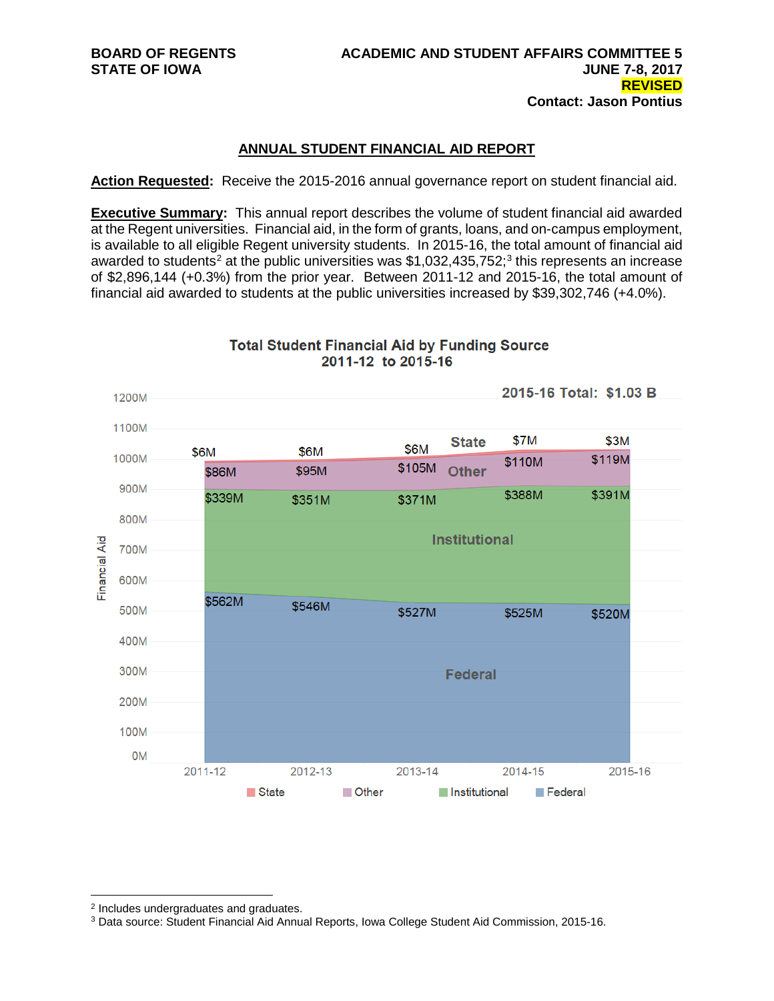### **ANNUAL STUDENT FINANCIAL AID REPORT**

**Action Requested:** Receive the 2015-2016 annual governance report on student financial aid.

**Executive Summary:** This annual report describes the volume of student financial aid awarded at the Regent universities. Financial aid, in the form of grants, loans, and on-campus employment, is available to all eligible Regent university students. In 2015-16, the total amount of financial aid awarded to students<sup>2</sup> at the public universities was \$1,0[3](#page-0-1)2,435,752;<sup>3</sup> this represents an increase of \$2,896,144 (+0.3%) from the prior year. Between 2011-12 and 2015-16, the total amount of financial aid awarded to students at the public universities increased by \$39,302,746 (+4.0%).



**Total Student Financial Aid by Funding Source** 2011-12 to 2015-16

 $\overline{a}$ <sup>2</sup> Includes undergraduates and graduates.

<span id="page-0-1"></span><span id="page-0-0"></span><sup>3</sup> Data source: Student Financial Aid Annual Reports, Iowa College Student Aid Commission, 2015-16.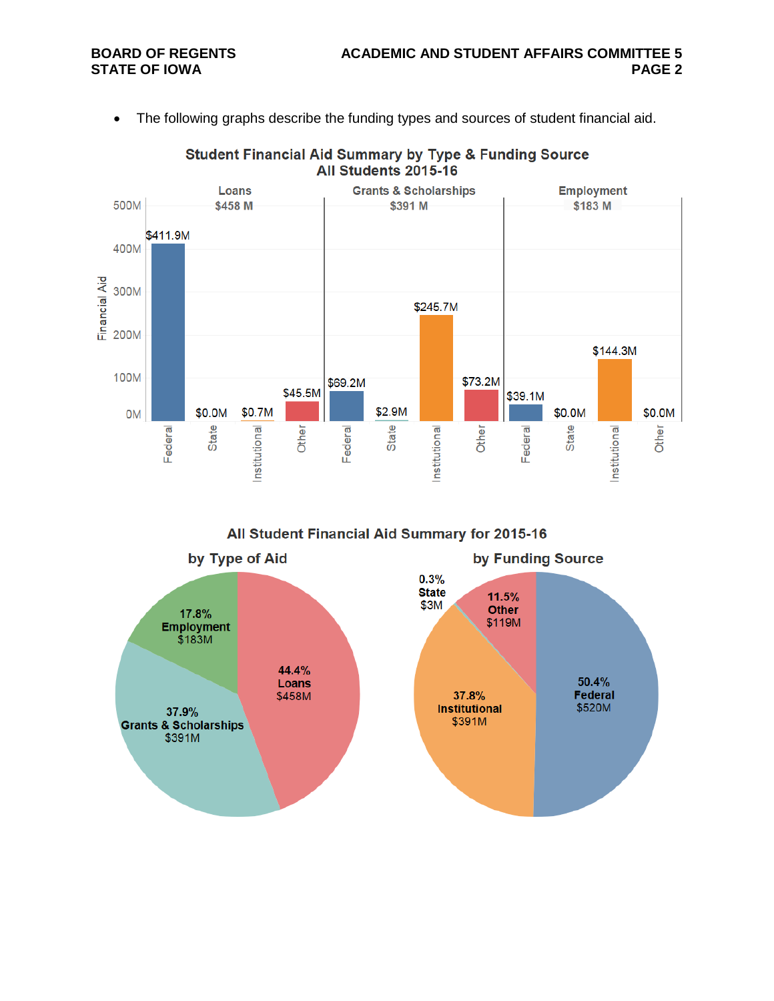• The following graphs describe the funding types and sources of student financial aid.



**Student Financial Aid Summary by Type & Funding Source** All Students 2015-16

All Student Financial Aid Summary for 2015-16

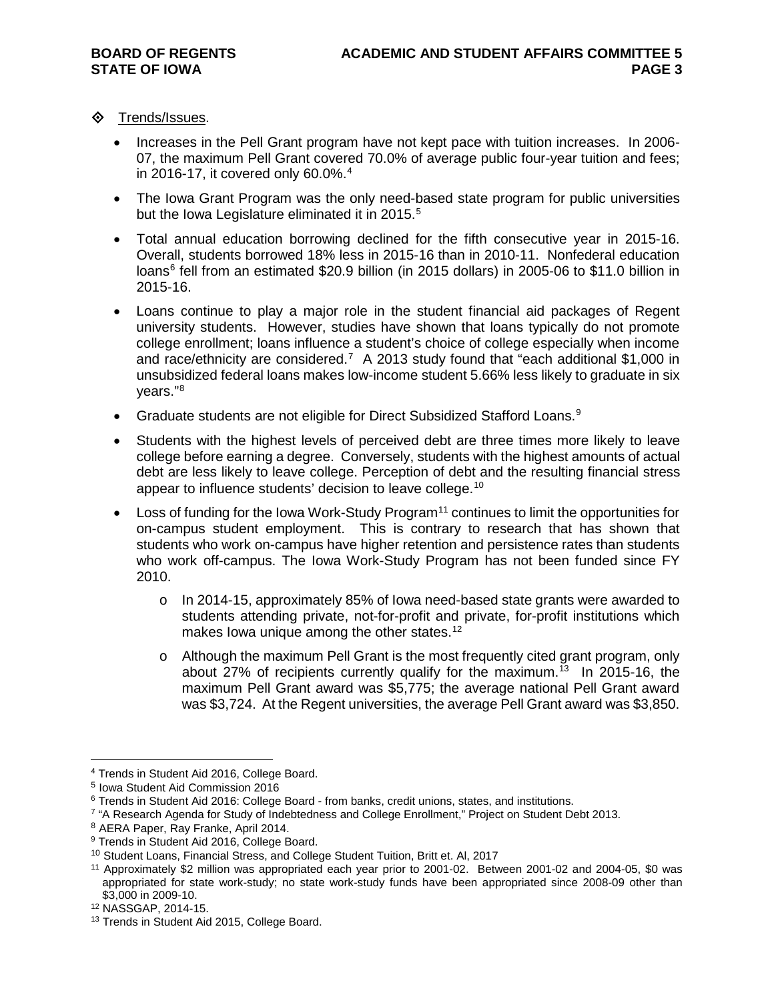- **◆** Trends/Issues.
	- Increases in the Pell Grant program have not kept pace with tuition increases. In 2006- 07, the maximum Pell Grant covered 70.0% of average public four-year tuition and fees; in 2016-17, it covered only 60.0%.<sup>[4](#page-2-0)</sup>
	- The Iowa Grant Program was the only need-based state program for public universities but the Iowa Legislature eliminated it in 201[5](#page-2-1).<sup>5</sup>
	- Total annual education borrowing declined for the fifth consecutive year in 2015-16. Overall, students borrowed 18% less in 2015-16 than in 2010-11. Nonfederal education loans<sup>[6](#page-2-2)</sup> fell from an estimated \$20.9 billion (in 2015 dollars) in 2005-06 to \$11.0 billion in 2015-16.
	- Loans continue to play a major role in the student financial aid packages of Regent university students. However, studies have shown that loans typically do not promote college enrollment; loans influence a student's choice of college especially when income and race/ethnicity are considered.<sup>[7](#page-2-3)</sup> A 2013 study found that "each additional \$1,000 in unsubsidized federal loans makes low-income student 5.66% less likely to graduate in six years."[8](#page-2-4)
	- Graduate students are not eligible for Direct Subsidized Stafford Loans.[9](#page-2-5)
	- Students with the highest levels of perceived debt are three times more likely to leave college before earning a degree. Conversely, students with the highest amounts of actual debt are less likely to leave college. Perception of debt and the resulting financial stress appear to influence students' decision to leave college.<sup>[10](#page-2-6)</sup>
	- Loss of funding for the Iowa Work-Study Program<sup>[11](#page-2-7)</sup> continues to limit the opportunities for on-campus student employment. This is contrary to research that has shown that students who work on-campus have higher retention and persistence rates than students who work off-campus. The Iowa Work-Study Program has not been funded since FY 2010.
		- o In 2014-15, approximately 85% of Iowa need-based state grants were awarded to students attending private, not-for-profit and private, for-profit institutions which makes Iowa unique among the other states.<sup>12</sup>
		- o Although the maximum Pell Grant is the most frequently cited grant program, only about 27% of recipients currently qualify for the maximum.<sup>[13](#page-2-9)</sup> In 2015-16, the maximum Pell Grant award was \$5,775; the average national Pell Grant award was \$3,724. At the Regent universities, the average Pell Grant award was \$3,850.

<span id="page-2-0"></span> $\overline{a}$ <sup>4</sup> Trends in Student Aid 2016, College Board.

<span id="page-2-1"></span><sup>5</sup> Iowa Student Aid Commission 2016

<span id="page-2-2"></span><sup>6</sup> Trends in Student Aid 2016: College Board - from banks, credit unions, states, and institutions.

<span id="page-2-3"></span><sup>&</sup>lt;sup>7</sup> "A Research Agenda for Study of Indebtedness and College Enrollment," Project on Student Debt 2013.

<span id="page-2-4"></span><sup>8</sup> AERA Paper, Ray Franke, April 2014.

<span id="page-2-5"></span><sup>&</sup>lt;sup>9</sup> Trends in Student Aid 2016, College Board.

<span id="page-2-6"></span><sup>10</sup> Student Loans, Financial Stress, and College Student Tuition, Britt et. Al, 2017

<span id="page-2-7"></span><sup>11</sup> Approximately \$2 million was appropriated each year prior to 2001-02. Between 2001-02 and 2004-05, \$0 was appropriated for state work-study; no state work-study funds have been appropriated since 2008-09 other than \$3,000 in 2009-10.

<span id="page-2-8"></span><sup>12</sup> NASSGAP, 2014-15.

<span id="page-2-9"></span><sup>&</sup>lt;sup>13</sup> Trends in Student Aid 2015, College Board.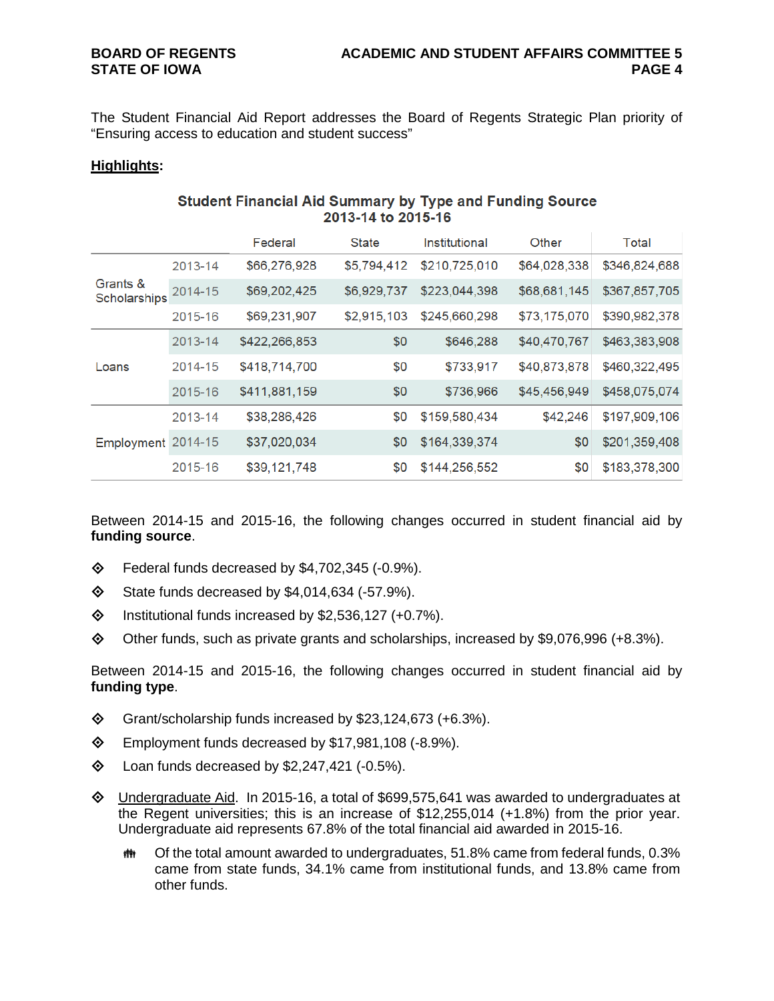The Student Financial Aid Report addresses the Board of Regents Strategic Plan priority of "Ensuring access to education and student success"

#### **Highlights:**

#### **Student Financial Aid Summary by Type and Funding Source** 2013-14 to 2015-16

|                          |         | Federal       | <b>State</b> | Institutional                                                                                                                                                                                                                               | Other         | Total         |
|--------------------------|---------|---------------|--------------|---------------------------------------------------------------------------------------------------------------------------------------------------------------------------------------------------------------------------------------------|---------------|---------------|
| Grants &<br>Scholarships | 2013-14 | \$66,276,928  | \$5,794,412  | \$210,725,010                                                                                                                                                                                                                               | \$64,028,338  | \$346,824,688 |
|                          | 2014-15 | \$69,202,425  | \$6,929,737  | \$223,044,398                                                                                                                                                                                                                               | \$68,681,145  | \$367,857,705 |
|                          | 2015-16 | \$69,231,907  | \$2,915,103  | \$73,175,070<br>\$245,660,298<br>\$0<br>\$646,288<br>\$40,470,767<br>\$0<br>\$733,917<br>\$40,873,878<br>\$0<br>\$736,966<br>\$45,456,949<br>\$42,246<br>\$0<br>\$159,580,434<br>\$0<br>\$164,339,374<br>\$0<br>\$0<br>\$0<br>\$144,256,552 | \$390,982,378 |               |
|                          | 2013-14 | \$422,266,853 |              |                                                                                                                                                                                                                                             |               | \$463,383,908 |
| Loans                    | 2014-15 | \$418,714,700 |              |                                                                                                                                                                                                                                             |               | \$460,322,495 |
|                          | 2015-16 | \$411,881,159 |              |                                                                                                                                                                                                                                             |               | \$458,075,074 |
|                          | 2013-14 | \$38,286,426  |              |                                                                                                                                                                                                                                             |               | \$197,909,106 |
| Employment 2014-15       |         | \$37,020,034  |              |                                                                                                                                                                                                                                             |               | \$201,359,408 |
|                          | 2015-16 | \$39,121,748  |              |                                                                                                                                                                                                                                             |               | \$183,378,300 |

Between 2014-15 and 2015-16, the following changes occurred in student financial aid by **funding source**.

- $\diamond$  Federal funds decreased by \$4,702,345 (-0.9%).
- $\textcircled{}$  State funds decreased by \$4,014,634 (-57.9%).
- $\lozenge$  Institutional funds increased by \$2,536,127 (+0.7%).
- Other funds, such as private grants and scholarships, increased by \$9,076,996 (+8.3%).

Between 2014-15 and 2015-16, the following changes occurred in student financial aid by **funding type**.

- $\diamond$  Grant/scholarship funds increased by \$23,124,673 (+6.3%).
- Employment funds decreased by \$17,981,108 (-8.9%).
- $\lozenge$  Loan funds decreased by \$2,247,421 (-0.5%).
- $\Diamond$  Undergraduate Aid. In 2015-16, a total of \$699,575,641 was awarded to undergraduates at the Regent universities; this is an increase of \$12,255,014 (+1.8%) from the prior year. Undergraduate aid represents 67.8% of the total financial aid awarded in 2015-16.
	- Of the total amount awarded to undergraduates, 51.8% came from federal funds, 0.3% came from state funds, 34.1% came from institutional funds, and 13.8% came from other funds.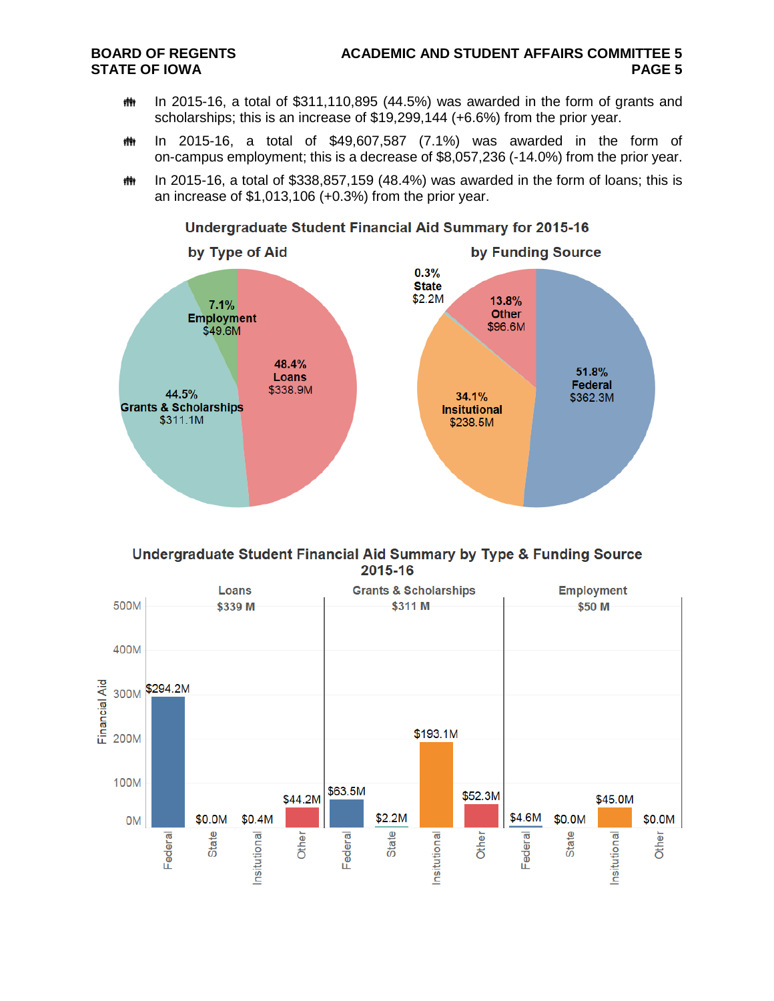- th In 2015-16, a total of \$311,110,895 (44.5%) was awarded in the form of grants and scholarships; this is an increase of \$19,299,144 (+6.6%) from the prior year.
- $m$  In 2015-16, a total of \$49,607,587 (7.1%) was awarded in the form of on-campus employment; this is a decrease of \$8,057,236 (-14.0%) from the prior year.
- **# In 2015-16, a total of \$338,857,159 (48.4%) was awarded in the form of loans; this is** an increase of \$1,013,106 (+0.3%) from the prior year.



### Undergraduate Student Financial Aid Summary for 2015-16



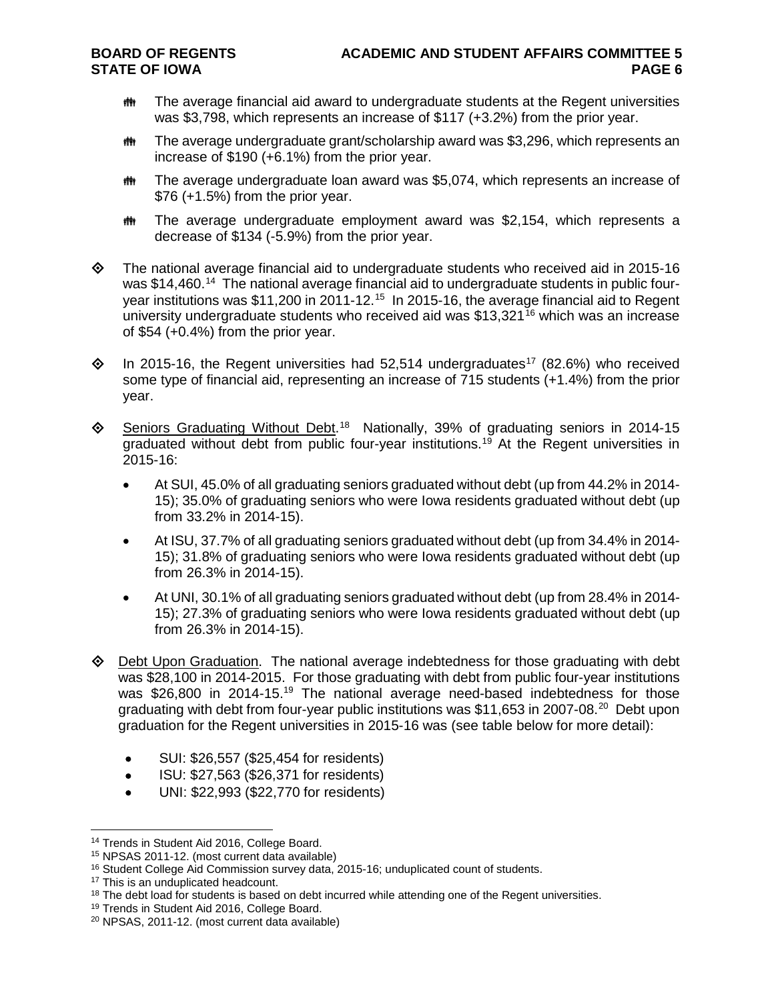- $m$  The average financial aid award to undergraduate students at the Regent universities was \$3,798, which represents an increase of \$117 (+3.2%) from the prior year.
- The average undergraduate grant/scholarship award was \$3,296, which represents an increase of \$190 (+6.1%) from the prior year.
- **##** The average undergraduate loan award was \$5,074, which represents an increase of \$76 (+1.5%) from the prior year.
- **##** The average undergraduate employment award was \$2,154, which represents a decrease of \$134 (-5.9%) from the prior year.
- $\Diamond$  The national average financial aid to undergraduate students who received aid in 2015-16 was \$14,460.<sup>14</sup> The national average financial aid to undergraduate students in public four-year institutions was \$11,200 in 2011-12.<sup>[15](#page-5-1)</sup> In 2015-16, the average financial aid to Regent university undergraduate students who received aid was \$13,321<sup>[16](#page-5-2)</sup> which was an increase of \$54 (+0.4%) from the prior year.
- $\lozenge$  In 2015-16, the Regent universities had 52,514 undergraduates<sup>17</sup> (82.6%) who received some type of financial aid, representing an increase of 715 students (+1.4%) from the prior year.
- ♦ Seniors Graduating Without Debt.<sup>18</sup> Nationally, 39% of graduating seniors in 2014-15 graduated without debt from public four-year institutions.[19](#page-5-5) At the Regent universities in 2015-16:
	- At SUI, 45.0% of all graduating seniors graduated without debt (up from 44.2% in 2014- 15); 35.0% of graduating seniors who were Iowa residents graduated without debt (up from 33.2% in 2014-15).
	- At ISU, 37.7% of all graduating seniors graduated without debt (up from 34.4% in 2014- 15); 31.8% of graduating seniors who were Iowa residents graduated without debt (up from 26.3% in 2014-15).
	- At UNI, 30.1% of all graduating seniors graduated without debt (up from 28.4% in 2014- 15); 27.3% of graduating seniors who were Iowa residents graduated without debt (up from 26.3% in 2014-15).
- $\Diamond$  Debt Upon Graduation. The national average indebtedness for those graduating with debt was \$28,100 in 2014-2015. For those graduating with debt from public four-year institutions was \$26,800 in 2014-15.<sup>19</sup> The national average need-based indebtedness for those graduating with debt from four-year public institutions was \$11,653 in [20](#page-5-6)07-08.<sup>20</sup> Debt upon graduation for the Regent universities in 2015-16 was (see table below for more detail):
	- SUI: \$26,557 (\$25,454 for residents)
	- ISU: \$27,563 (\$26,371 for residents)
	- UNI: \$22,993 (\$22,770 for residents)

 $\overline{a}$ 

<span id="page-5-0"></span><sup>&</sup>lt;sup>14</sup> Trends in Student Aid 2016, College Board.

<span id="page-5-1"></span><sup>15</sup> NPSAS 2011-12. (most current data available)

<span id="page-5-2"></span><sup>&</sup>lt;sup>16</sup> Student College Aid Commission survey data, 2015-16; unduplicated count of students.

<span id="page-5-3"></span><sup>&</sup>lt;sup>17</sup> This is an unduplicated headcount.

<span id="page-5-4"></span><sup>&</sup>lt;sup>18</sup> The debt load for students is based on debt incurred while attending one of the Regent universities.

<span id="page-5-5"></span><sup>&</sup>lt;sup>19</sup> Trends in Student Aid 2016, College Board.

<span id="page-5-6"></span><sup>20</sup> NPSAS, 2011-12. (most current data available)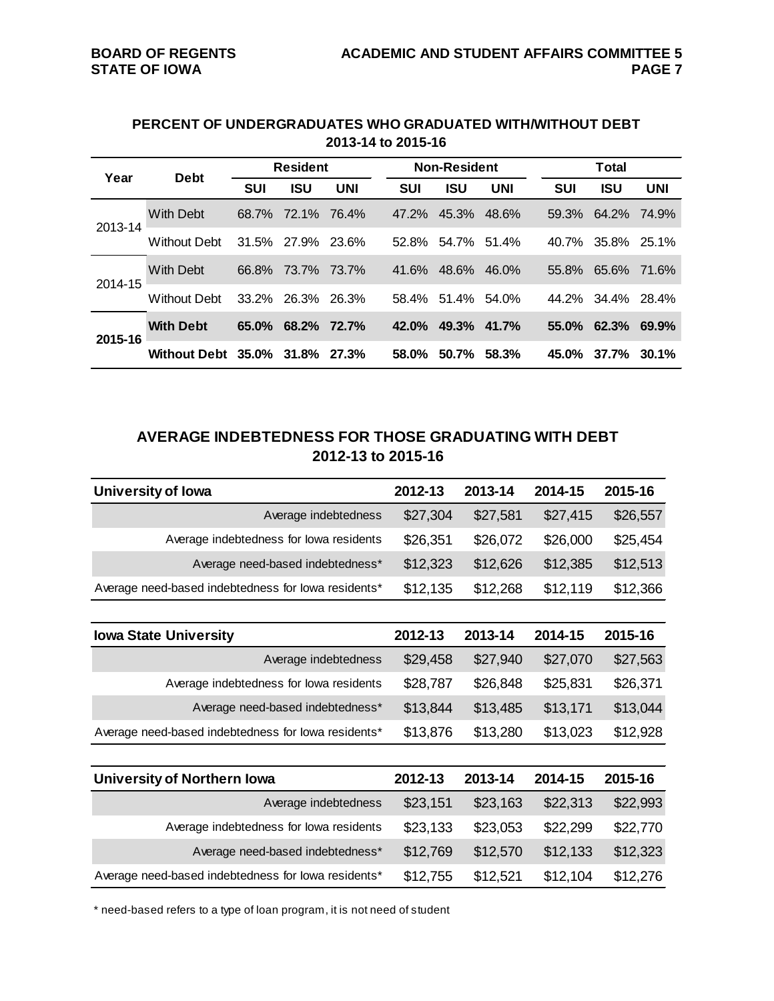#### **PERCENT OF UNDERGRADUATES WHO GRADUATED WITH/WITHOUT DEBT 2013-14 to 2015-16**

|                                       |                          | <b>Resident</b><br><b>Debt</b> |             |                                                                    |            | <b>Non-Resident</b> |          | Total      |                   |            |  |
|---------------------------------------|--------------------------|--------------------------------|-------------|--------------------------------------------------------------------|------------|---------------------|----------|------------|-------------------|------------|--|
|                                       |                          | <b>SUI</b>                     | <b>ISU</b>  | <b>UNI</b>                                                         | <b>SUI</b> | <b>ISU</b>          | UNI      | <b>SUI</b> | <b>ISU</b>        | <b>UNI</b> |  |
| Year<br>2013-14<br>2014-15<br>2015-16 | <b>With Debt</b>         | 68.7%                          | 72.1%       | 76.4%                                                              | 47.2%      | 45.3%               | 48.6%    |            | 59.3% 64.2% 74.9% |            |  |
|                                       | <b>Without Debt</b>      | 31.5% 27.9%                    |             | 23.6%                                                              | 52.8%      |                     | 51.4%    | 40.7%      | 35.8% 25.1%       |            |  |
|                                       | With Debt                |                                | 66.8% 73.7% |                                                                    | 41.6%      | 48.6%               | 46.0%    | 55.8%      | 65.6% 71.6%       |            |  |
|                                       | <b>Without Debt</b>      | 33.2%                          | 26.3%       | 26.3%                                                              | 58.4%      |                     | 54.0%    |            | 44.2% 34.4% 28.4% |            |  |
|                                       | <b>With Debt</b>         | $65.0\%$                       | 68.2%       | 72.7%                                                              | $42.0\%$   | 49.3%               | 41.7%    |            | $55.0\%$ 62.3%    | 69.9%      |  |
|                                       | Without Debt 35.0% 31.8% |                                |             | 54.7%<br>73.7%<br>51.4%<br>50.7%<br>58.3%<br>58.0%<br><b>27.3%</b> | 45.0%      | 37.7%               | $30.1\%$ |            |                   |            |  |

# **AVERAGE INDEBTEDNESS FOR THOSE GRADUATING WITH DEBT 2012-13 to 2015-16**

| <b>University of lowa</b>                           | 2012-13  | 2013-14  | 2014-15  | 2015-16  |
|-----------------------------------------------------|----------|----------|----------|----------|
| Average indebtedness                                | \$27,304 | \$27,581 | \$27,415 | \$26,557 |
| Average indebtedness for lowa residents             | \$26,351 | \$26,072 | \$26,000 | \$25,454 |
| Average need-based indebtedness*                    | \$12,323 | \$12,626 | \$12,385 | \$12,513 |
| Average need-based indebtedness for lowa residents* | \$12,135 | \$12,268 | \$12,119 | \$12,366 |
|                                                     |          |          |          |          |
| <b>Iowa State University</b>                        | 2012-13  | 2013-14  | 2014-15  | 2015-16  |
| Average indebtedness                                | \$29,458 | \$27,940 | \$27,070 | \$27,563 |
| Average indebtedness for lowa residents             | \$28,787 | \$26,848 | \$25,831 | \$26,371 |
| Average need-based indebtedness*                    | \$13,844 | \$13,485 | \$13,171 | \$13,044 |
| Average need-based indebtedness for lowa residents* | \$13,876 | \$13,280 | \$13,023 | \$12,928 |
|                                                     |          |          |          |          |
| <b>University of Northern Iowa</b>                  | 2012-13  | 2013-14  | 2014-15  | 2015-16  |
| Average indebtedness                                | \$23,151 | \$23,163 | \$22,313 | \$22,993 |
| Average indebtedness for lowa residents             | \$23,133 | \$23,053 | \$22,299 | \$22,770 |
| Average need-based indebtedness*                    | \$12,769 | \$12,570 | \$12,133 | \$12,323 |
| Average need-based indebtedness for lowa residents* | \$12,755 | \$12,521 | \$12,104 | \$12,276 |

\* need-based refers to a type of loan program, it is not need of student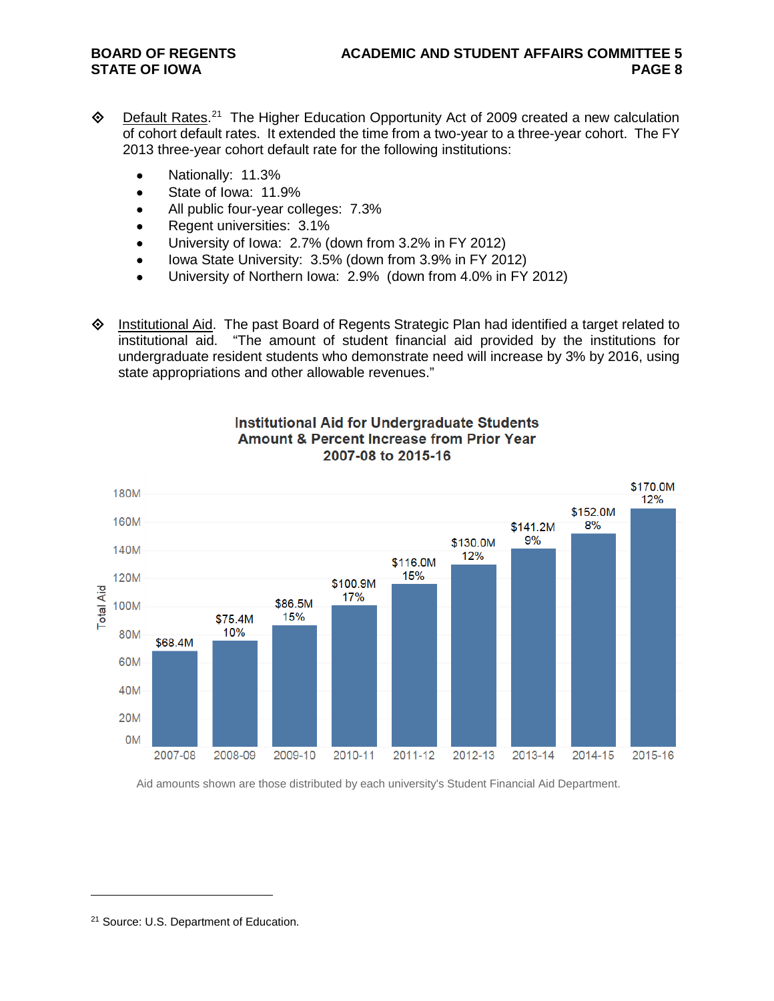- ♦ Default Rates.<sup>[21](#page-7-0)</sup> The Higher Education Opportunity Act of 2009 created a new calculation of cohort default rates. It extended the time from a two-year to a three-year cohort. The FY 2013 three-year cohort default rate for the following institutions:
	- Nationally: 11.3%
	- State of Iowa: 11.9%
	- All public four-year colleges: 7.3%
	- Regent universities: 3.1%
	- University of Iowa: 2.7% (down from 3.2% in FY 2012)
	- Iowa State University: 3.5% (down from 3.9% in FY 2012)
	- University of Northern Iowa: 2.9% (down from 4.0% in FY 2012)

 $\Diamond$  Institutional Aid. The past Board of Regents Strategic Plan had identified a target related to institutional aid. "The amount of student financial aid provided by the institutions for undergraduate resident students who demonstrate need will increase by 3% by 2016, using state appropriations and other allowable revenues."



### **Institutional Aid for Undergraduate Students Amount & Percent Increase from Prior Year** 2007-08 to 2015-16

Aid amounts shown are those distributed by each university's Student Financial Aid Department.

<span id="page-7-0"></span><sup>21</sup> Source: U.S. Department of Education.

 $\overline{a}$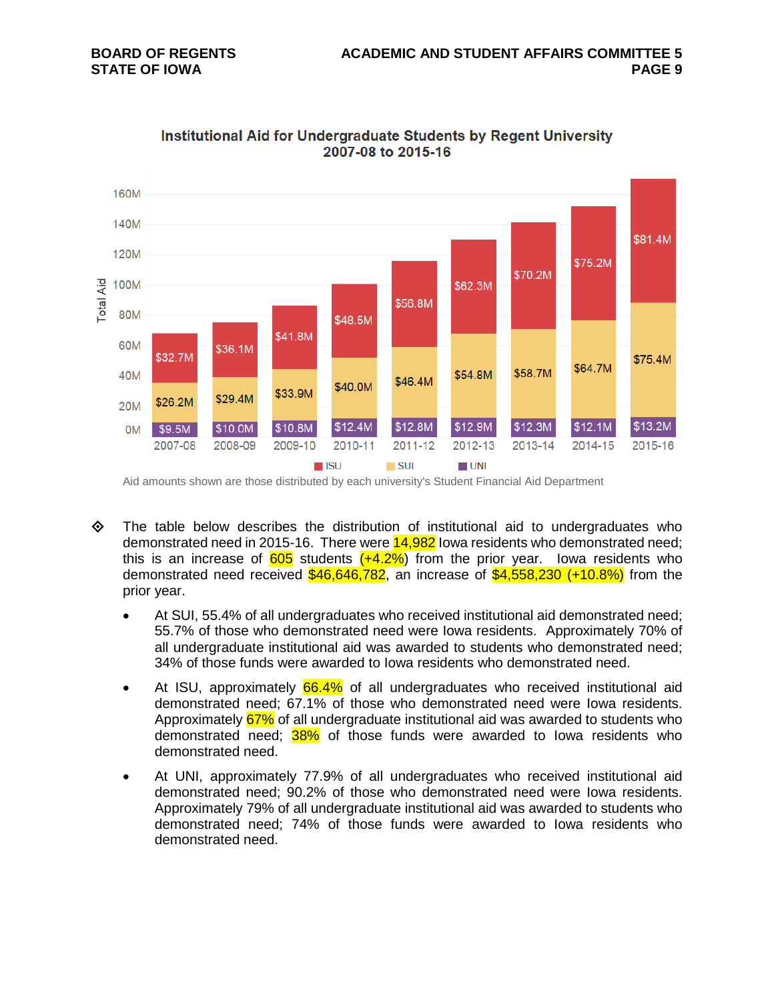

Institutional Aid for Undergraduate Students by Regent University 2007-08 to 2015-16

Aid amounts shown are those distributed by each university's Student Financial Aid Department

- $\Leftrightarrow$  The table below describes the distribution of institutional aid to undergraduates who demonstrated need in 2015-16. There were  $14,982$  lowa residents who demonstrated need; this is an increase of  $605$  students  $(+4.2\%)$  from the prior year. Iowa residents who demonstrated need received  $$46,646,782$ , an increase of  $$4,558,230$  (+10.8%) from the prior year.
	- At SUI, 55.4% of all undergraduates who received institutional aid demonstrated need; 55.7% of those who demonstrated need were Iowa residents. Approximately 70% of all undergraduate institutional aid was awarded to students who demonstrated need; 34% of those funds were awarded to Iowa residents who demonstrated need.
	- At ISU, approximately 66.4% of all undergraduates who received institutional aid demonstrated need; 67.1% of those who demonstrated need were Iowa residents. Approximately 67% of all undergraduate institutional aid was awarded to students who demonstrated need; 38% of those funds were awarded to Iowa residents who demonstrated need.
	- At UNI, approximately 77.9% of all undergraduates who received institutional aid demonstrated need; 90.2% of those who demonstrated need were Iowa residents. Approximately 79% of all undergraduate institutional aid was awarded to students who demonstrated need; 74% of those funds were awarded to Iowa residents who demonstrated need.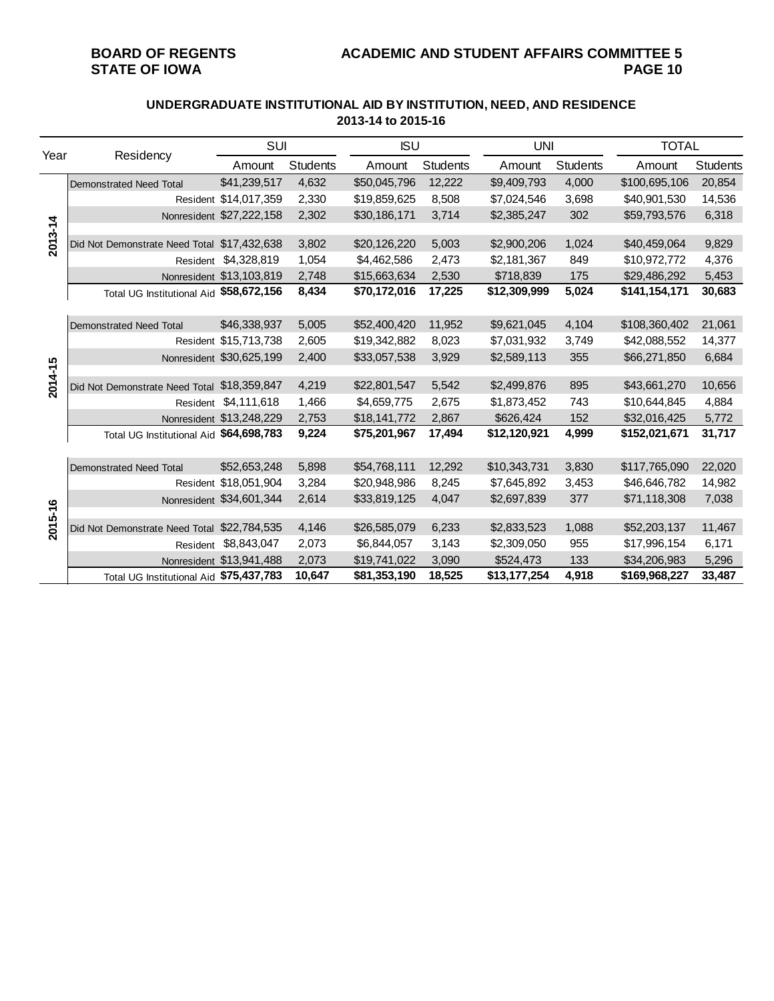# **BOARD OF REGENTS ACADEMIC AND STUDENT AFFAIRS COMMITTEE 5**

#### **UNDERGRADUATE INSTITUTIONAL AID BY INSTITUTION, NEED, AND RESIDENCE 2013-14 to 2015-16**

| Year    |                                             | <b>SUI</b>               |                 | <b>ISU</b>   |          | <b>UNI</b>   |                 | <b>TOTAL</b>  |          |
|---------|---------------------------------------------|--------------------------|-----------------|--------------|----------|--------------|-----------------|---------------|----------|
|         | Residency                                   | Amount                   | <b>Students</b> | Amount       | Students | Amount       | <b>Students</b> | Amount        | Students |
|         | Demonstrated Need Total                     | \$41,239,517             | 4,632           | \$50,045,796 | 12,222   | \$9,409,793  | 4,000           | \$100,695,106 | 20,854   |
|         |                                             | Resident \$14,017,359    | 2,330           | \$19,859,625 | 8,508    | \$7,024,546  | 3,698           | \$40,901,530  | 14,536   |
|         |                                             | Nonresident \$27,222,158 | 2,302           | \$30,186,171 | 3,714    | \$2,385,247  | 302             | \$59,793,576  | 6,318    |
| 2013-14 | Did Not Demonstrate Need Total \$17,432,638 |                          | 3,802           | \$20,126,220 | 5,003    | \$2,900,206  | 1,024           | \$40,459,064  | 9,829    |
|         |                                             | Resident \$4,328,819     | 1,054           | \$4,462,586  | 2,473    | \$2,181,367  | 849             | \$10,972,772  | 4,376    |
|         |                                             | Nonresident \$13,103,819 | 2,748           | \$15,663,634 | 2,530    | \$718,839    | 175             | \$29,486,292  | 5,453    |
|         | Total UG Institutional Aid \$58,672,156     |                          | 8,434           | \$70,172,016 | 17,225   | \$12,309,999 | 5,024           | \$141,154,171 | 30,683   |
|         |                                             |                          |                 |              |          |              |                 |               |          |
|         | Demonstrated Need Total                     | \$46,338,937             | 5,005           | \$52,400,420 | 11,952   | \$9,621,045  | 4,104           | \$108,360,402 | 21,061   |
|         |                                             | Resident \$15,713,738    | 2,605           | \$19,342,882 | 8,023    | \$7,031,932  | 3,749           | \$42,088,552  | 14,377   |
|         |                                             | Nonresident \$30,625,199 | 2,400           | \$33,057,538 | 3,929    | \$2,589,113  | 355             | \$66,271,850  | 6,684    |
| 2014-15 |                                             |                          |                 |              |          |              |                 |               |          |
|         | Did Not Demonstrate Need Total \$18,359,847 |                          | 4,219           | \$22,801,547 | 5,542    | \$2,499,876  | 895             | \$43,661,270  | 10,656   |
|         |                                             | Resident \$4,111,618     | 1,466           | \$4,659,775  | 2,675    | \$1,873,452  | 743             | \$10,644,845  | 4,884    |
|         |                                             | Nonresident \$13,248,229 | 2,753           | \$18,141,772 | 2,867    | \$626,424    | 152             | \$32,016,425  | 5,772    |
|         | Total UG Institutional Aid \$64,698,783     |                          | 9,224           | \$75,201,967 | 17,494   | \$12,120,921 | 4,999           | \$152,021,671 | 31,717   |
|         | Demonstrated Need Total                     | \$52,653,248             | 5,898           | \$54,768,111 | 12,292   | \$10,343,731 | 3,830           | \$117,765,090 | 22,020   |
|         |                                             | Resident \$18,051,904    | 3,284           | \$20,948,986 | 8,245    | \$7,645,892  | 3,453           | \$46,646,782  | 14,982   |
|         |                                             | Nonresident \$34,601,344 | 2,614           | \$33,819,125 | 4,047    | \$2,697,839  | 377             | \$71,118,308  | 7,038    |
| 2015-16 |                                             |                          |                 |              |          |              |                 |               |          |
|         | Did Not Demonstrate Need Total \$22,784,535 |                          | 4,146           | \$26,585,079 | 6,233    | \$2,833,523  | 1,088           | \$52,203,137  | 11,467   |
|         |                                             | Resident \$8,843,047     | 2,073           | \$6,844,057  | 3,143    | \$2,309,050  | 955             | \$17,996,154  | 6,171    |
|         |                                             | Nonresident \$13,941,488 | 2,073           | \$19,741,022 | 3,090    | \$524,473    | 133             | \$34,206,983  | 5,296    |
|         | Total UG Institutional Aid \$75,437,783     |                          | 10,647          | \$81,353,190 | 18,525   | \$13,177,254 | 4,918           | \$169,968,227 | 33,487   |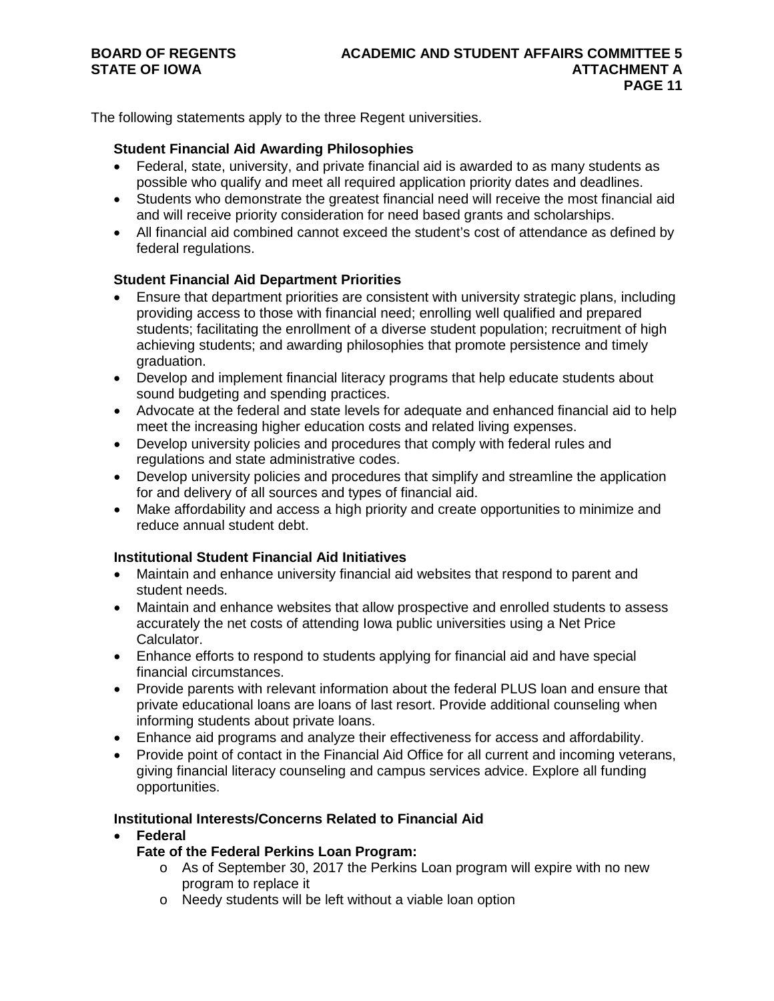The following statements apply to the three Regent universities.

#### **Student Financial Aid Awarding Philosophies**

- Federal, state, university, and private financial aid is awarded to as many students as possible who qualify and meet all required application priority dates and deadlines.
- Students who demonstrate the greatest financial need will receive the most financial aid and will receive priority consideration for need based grants and scholarships.
- All financial aid combined cannot exceed the student's cost of attendance as defined by federal regulations.

### **Student Financial Aid Department Priorities**

- Ensure that department priorities are consistent with university strategic plans, including providing access to those with financial need; enrolling well qualified and prepared students; facilitating the enrollment of a diverse student population; recruitment of high achieving students; and awarding philosophies that promote persistence and timely graduation.
- Develop and implement financial literacy programs that help educate students about sound budgeting and spending practices.
- Advocate at the federal and state levels for adequate and enhanced financial aid to help meet the increasing higher education costs and related living expenses.
- Develop university policies and procedures that comply with federal rules and regulations and state administrative codes.
- Develop university policies and procedures that simplify and streamline the application for and delivery of all sources and types of financial aid.
- Make affordability and access a high priority and create opportunities to minimize and reduce annual student debt.

### **Institutional Student Financial Aid Initiatives**

- Maintain and enhance university financial aid websites that respond to parent and student needs.
- Maintain and enhance websites that allow prospective and enrolled students to assess accurately the net costs of attending Iowa public universities using a Net Price Calculator.
- Enhance efforts to respond to students applying for financial aid and have special financial circumstances.
- Provide parents with relevant information about the federal PLUS loan and ensure that private educational loans are loans of last resort. Provide additional counseling when informing students about private loans.
- Enhance aid programs and analyze their effectiveness for access and affordability.
- Provide point of contact in the Financial Aid Office for all current and incoming veterans, giving financial literacy counseling and campus services advice. Explore all funding opportunities.

#### **Institutional Interests/Concerns Related to Financial Aid**

- **Federal**
	- **Fate of the Federal Perkins Loan Program:**
		- $\circ$  As of September 30, 2017 the Perkins Loan program will expire with no new program to replace it
		- o Needy students will be left without a viable loan option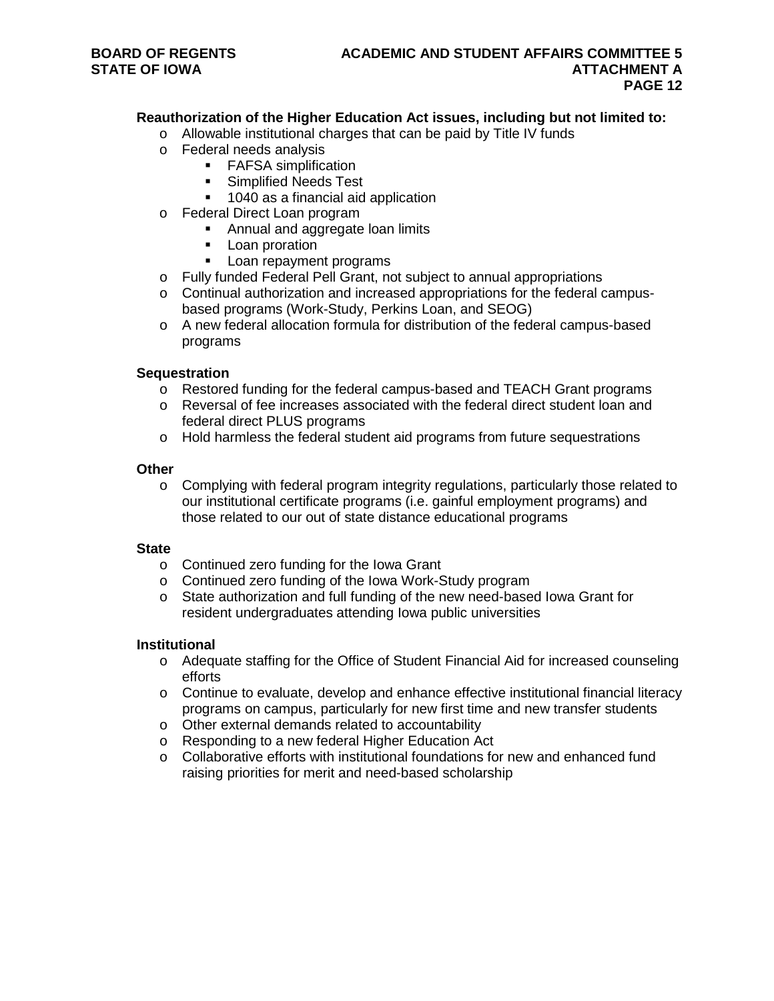### **Reauthorization of the Higher Education Act issues, including but not limited to:**

- o Allowable institutional charges that can be paid by Title IV funds
- o Federal needs analysis
	- FAFSA simplification
	- **Simplified Needs Test**
	- 1040 as a financial aid application
- o Federal Direct Loan program
	- Annual and aggregate loan limits
	- **-** Loan proration
	- **Loan repayment programs**
- o Fully funded Federal Pell Grant, not subject to annual appropriations
- o Continual authorization and increased appropriations for the federal campusbased programs (Work-Study, Perkins Loan, and SEOG)
- o A new federal allocation formula for distribution of the federal campus-based programs

#### **Sequestration**

- o Restored funding for the federal campus-based and TEACH Grant programs
- o Reversal of fee increases associated with the federal direct student loan and federal direct PLUS programs
- o Hold harmless the federal student aid programs from future sequestrations

#### **Other**

o Complying with federal program integrity regulations, particularly those related to our institutional certificate programs (i.e. gainful employment programs) and those related to our out of state distance educational programs

#### **State**

- o Continued zero funding for the Iowa Grant
- o Continued zero funding of the Iowa Work-Study program
- o State authorization and full funding of the new need-based Iowa Grant for resident undergraduates attending Iowa public universities

#### **Institutional**

- o Adequate staffing for the Office of Student Financial Aid for increased counseling efforts
- $\circ$  Continue to evaluate, develop and enhance effective institutional financial literacy programs on campus, particularly for new first time and new transfer students
- o Other external demands related to accountability
- o Responding to a new federal Higher Education Act
- $\circ$  Collaborative efforts with institutional foundations for new and enhanced fund raising priorities for merit and need-based scholarship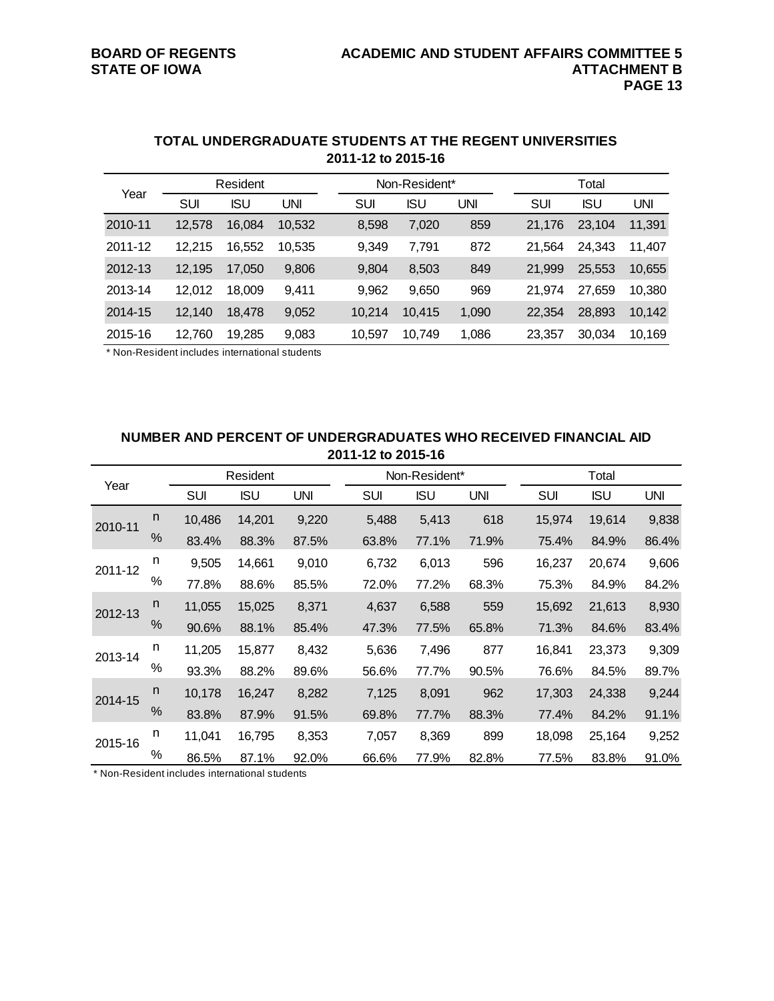|         |        | Resident   |        |        | Non-Resident* |            |        | Total      |        |  |  |
|---------|--------|------------|--------|--------|---------------|------------|--------|------------|--------|--|--|
| Year    | SUI    | <b>ISU</b> | UNI    | SUI    | ISU           | <b>UNI</b> | SUI    | <b>ISU</b> | UNI    |  |  |
| 2010-11 | 12,578 | 16,084     | 10,532 | 8,598  | 7,020         | 859        | 21,176 | 23,104     | 11,391 |  |  |
| 2011-12 | 12.215 | 16,552     | 10,535 | 9,349  | 7,791         | 872        | 21.564 | 24.343     | 11,407 |  |  |
| 2012-13 | 12,195 | 17,050     | 9,806  | 9,804  | 8,503         | 849        | 21,999 | 25,553     | 10,655 |  |  |
| 2013-14 | 12,012 | 18.009     | 9,411  | 9,962  | 9,650         | 969        | 21.974 | 27.659     | 10,380 |  |  |
| 2014-15 | 12,140 | 18,478     | 9,052  | 10,214 | 10,415        | 1,090      | 22,354 | 28,893     | 10,142 |  |  |
| 2015-16 | 12,760 | 19,285     | 9,083  | 10,597 | 10,749        | 1,086      | 23,357 | 30,034     | 10,169 |  |  |

#### **TOTAL UNDERGRADUATE STUDENTS AT THE REGENT UNIVERSITIES 2011-12 to 2015-16**

\* Non-Resident includes international students

#### **NUMBER AND PERCENT OF UNDERGRADUATES WHO RECEIVED FINANCIAL AID 2011-12 to 2015-16**

|         |      |            | Resident   |            |            | Non-Resident* |            |        | Total      |       |  |  |
|---------|------|------------|------------|------------|------------|---------------|------------|--------|------------|-------|--|--|
| Year    |      | <b>SUI</b> | <b>ISU</b> | <b>UNI</b> | <b>SUI</b> | ISU           | <b>UNI</b> | SUI    | <b>ISU</b> | UNI   |  |  |
| 2010-11 | n.   | 10,486     | 14,201     | 9,220      | 5,488      | 5,413         | 618        | 15,974 | 19,614     | 9,838 |  |  |
|         | $\%$ | 83.4%      | 88.3%      | 87.5%      | 63.8%      | 77.1%         | 71.9%      | 75.4%  | 84.9%      | 86.4% |  |  |
| 2011-12 | n    | 9,505      | 14,661     | 9,010      | 6,732      | 6,013         | 596        | 16,237 | 20,674     | 9,606 |  |  |
|         | $\%$ | 77.8%      | 88.6%      | 85.5%      | 72.0%      | 77.2%         | 68.3%      | 75.3%  | 84.9%      | 84.2% |  |  |
| 2012-13 | n    | 11,055     | 15,025     | 8,371      | 4,637      | 6,588         | 559        | 15,692 | 21,613     | 8,930 |  |  |
|         | %    | 90.6%      | 88.1%      | 85.4%      | 47.3%      | 77.5%         | 65.8%      | 71.3%  | 84.6%      | 83.4% |  |  |
| 2013-14 | n    | 11,205     | 15,877     | 8,432      | 5,636      | 7,496         | 877        | 16,841 | 23,373     | 9,309 |  |  |
|         | $\%$ | 93.3%      | 88.2%      | 89.6%      | 56.6%      | 77.7%         | 90.5%      | 76.6%  | 84.5%      | 89.7% |  |  |
| 2014-15 | n    | 10,178     | 16,247     | 8,282      | 7,125      | 8,091         | 962        | 17,303 | 24,338     | 9,244 |  |  |
|         | %    | 83.8%      | 87.9%      | 91.5%      | 69.8%      | 77.7%         | 88.3%      | 77.4%  | 84.2%      | 91.1% |  |  |
| 2015-16 | n    | 11,041     | 16,795     | 8,353      | 7,057      | 8,369         | 899        | 18,098 | 25,164     | 9,252 |  |  |
|         | $\%$ | 86.5%      | 87.1%      | 92.0%      | 66.6%      | 77.9%         | 82.8%      | 77.5%  | 83.8%      | 91.0% |  |  |

\* Non-Resident includes international students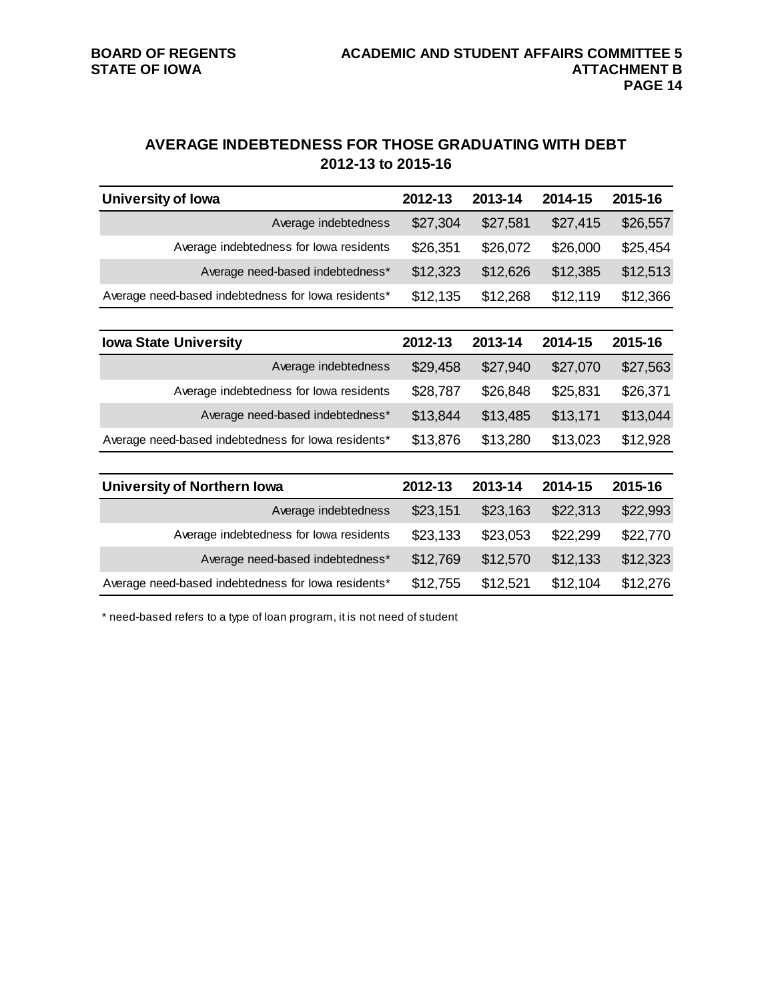# **AVERAGE INDEBTEDNESS FOR THOSE GRADUATING WITH DEBT 2012-13 to 2015-16**

| <b>University of Iowa</b>                           | 2012-13  | 2013-14  | 2014-15  | 2015-16  |
|-----------------------------------------------------|----------|----------|----------|----------|
| Average indebtedness                                | \$27,304 | \$27,581 | \$27,415 | \$26,557 |
| Average indebtedness for lowa residents             | \$26,351 | \$26,072 | \$26,000 | \$25,454 |
| Average need-based indebtedness*                    | \$12,323 | \$12,626 | \$12,385 | \$12,513 |
| Average need-based indebtedness for lowa residents* | \$12,135 | \$12,268 | \$12,119 | \$12,366 |
|                                                     |          |          |          |          |
| <b>Iowa State University</b>                        | 2012-13  | 2013-14  | 2014-15  | 2015-16  |
| Average indebtedness                                | \$29,458 | \$27,940 | \$27,070 | \$27,563 |
| Average indebtedness for lowa residents             | \$28,787 | \$26,848 | \$25,831 | \$26,371 |
| Average need-based indebtedness*                    | \$13,844 | \$13,485 | \$13,171 | \$13,044 |
| Average need-based indebtedness for lowa residents* | \$13,876 | \$13,280 | \$13,023 | \$12,928 |
|                                                     |          |          |          |          |
| <b>University of Northern Iowa</b>                  | 2012-13  | 2013-14  | 2014-15  | 2015-16  |
| Average indebtedness                                | \$23,151 | \$23,163 | \$22,313 | \$22,993 |
| Average indebtedness for lowa residents             | \$23,133 | \$23,053 | \$22,299 | \$22,770 |
| Average need-based indebtedness*                    | \$12,769 | \$12,570 | \$12,133 | \$12,323 |
| Average need-based indebtedness for lowa residents* | \$12,755 | \$12,521 | \$12,104 | \$12,276 |

\* need-based refers to a type of loan program, it is not need of student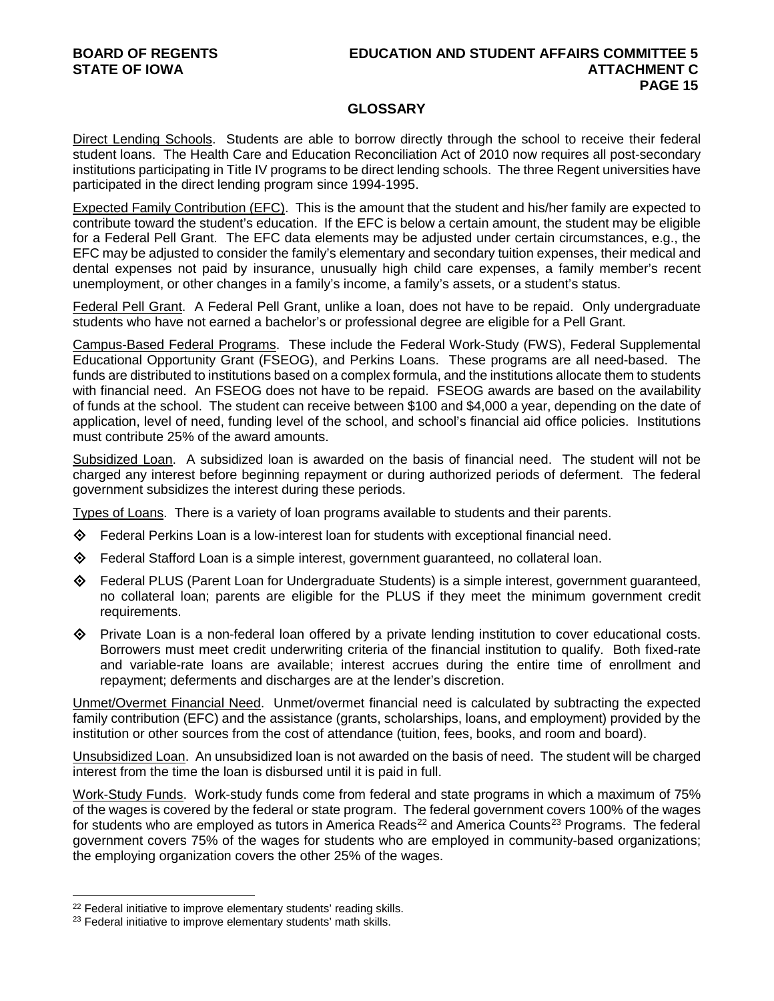# **BOARD OF REGENTS EDUCATION AND STUDENT AFFAIRS COMMITTEE 5 PAGE 15**

#### **GLOSSARY**

Direct Lending Schools. Students are able to borrow directly through the school to receive their federal student loans. The Health Care and Education Reconciliation Act of 2010 now requires all post-secondary institutions participating in Title IV programs to be direct lending schools. The three Regent universities have participated in the direct lending program since 1994-1995.

Expected Family Contribution (EFC). This is the amount that the student and his/her family are expected to contribute toward the student's education. If the EFC is below a certain amount, the student may be eligible for a Federal Pell Grant. The EFC data elements may be adjusted under certain circumstances, e.g., the EFC may be adjusted to consider the family's elementary and secondary tuition expenses, their medical and dental expenses not paid by insurance, unusually high child care expenses, a family member's recent unemployment, or other changes in a family's income, a family's assets, or a student's status.

Federal Pell Grant. A Federal Pell Grant, unlike a loan, does not have to be repaid. Only undergraduate students who have not earned a bachelor's or professional degree are eligible for a Pell Grant.

Campus-Based Federal Programs. These include the Federal Work-Study (FWS), Federal Supplemental Educational Opportunity Grant (FSEOG), and Perkins Loans. These programs are all need-based. The funds are distributed to institutions based on a complex formula, and the institutions allocate them to students with financial need. An FSEOG does not have to be repaid. FSEOG awards are based on the availability of funds at the school. The student can receive between \$100 and \$4,000 a year, depending on the date of application, level of need, funding level of the school, and school's financial aid office policies. Institutions must contribute 25% of the award amounts.

Subsidized Loan. A subsidized loan is awarded on the basis of financial need. The student will not be charged any interest before beginning repayment or during authorized periods of deferment. The federal government subsidizes the interest during these periods.

Types of Loans. There is a variety of loan programs available to students and their parents.

- Federal Perkins Loan is a low-interest loan for students with exceptional financial need.
- Federal Stafford Loan is a simple interest, government guaranteed, no collateral loan.
- $\diamondsuit$  Federal PLUS (Parent Loan for Undergraduate Students) is a simple interest, government guaranteed, no collateral loan; parents are eligible for the PLUS if they meet the minimum government credit requirements.
- $\Diamond$  Private Loan is a non-federal loan offered by a private lending institution to cover educational costs. Borrowers must meet credit underwriting criteria of the financial institution to qualify. Both fixed-rate and variable-rate loans are available; interest accrues during the entire time of enrollment and repayment; deferments and discharges are at the lender's discretion.

Unmet/Overmet Financial Need. Unmet/overmet financial need is calculated by subtracting the expected family contribution (EFC) and the assistance (grants, scholarships, loans, and employment) provided by the institution or other sources from the cost of attendance (tuition, fees, books, and room and board).

Unsubsidized Loan. An unsubsidized loan is not awarded on the basis of need. The student will be charged interest from the time the loan is disbursed until it is paid in full.

Work-Study Funds. Work-study funds come from federal and state programs in which a maximum of 75% of the wages is covered by the federal or state program. The federal government covers 100% of the wages for students who are employed as tutors in America Reads<sup>[22](#page-14-0)</sup> and America Counts<sup>[23](#page-14-1)</sup> Programs. The federal government covers 75% of the wages for students who are employed in community-based organizations; the employing organization covers the other 25% of the wages.

 $\overline{a}$ 

<span id="page-14-0"></span><sup>&</sup>lt;sup>22</sup> Federal initiative to improve elementary students' reading skills.

<span id="page-14-1"></span><sup>&</sup>lt;sup>23</sup> Federal initiative to improve elementary students' math skills.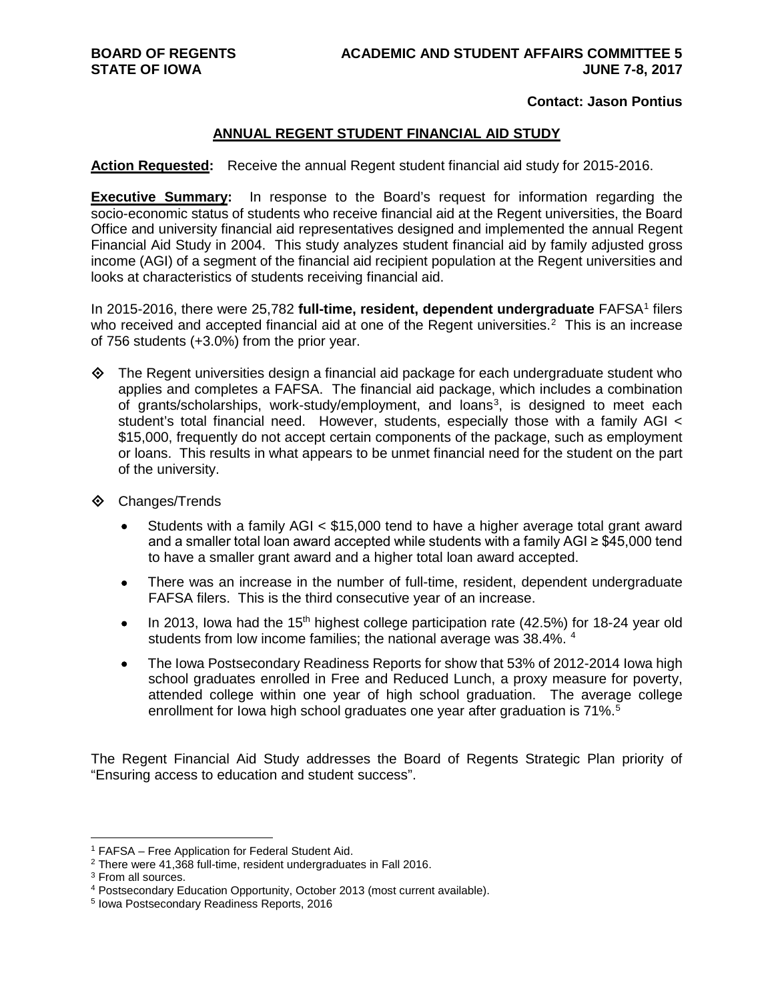#### **Contact: Jason Pontius**

#### **ANNUAL REGENT STUDENT FINANCIAL AID STUDY**

**Action Requested:** Receive the annual Regent student financial aid study for 2015-2016.

**Executive Summary:** In response to the Board's request for information regarding the socio-economic status of students who receive financial aid at the Regent universities, the Board Office and university financial aid representatives designed and implemented the annual Regent Financial Aid Study in 2004. This study analyzes student financial aid by family adjusted gross income (AGI) of a segment of the financial aid recipient population at the Regent universities and looks at characteristics of students receiving financial aid.

In 20[1](#page-15-0)5-2016, there were 25,782 full-time, resident, dependent undergraduate FAFSA<sup>1</sup> filers who received and accepted financial aid at one of the Regent universities.<sup>[2](#page-15-1)</sup> This is an increase of 756 students (+3.0%) from the prior year.

 $\Diamond$  The Regent universities design a financial aid package for each undergraduate student who applies and completes a FAFSA. The financial aid package, which includes a combination of grants/scholarships, work-study/employment, and loans<sup>[3](#page-15-2)</sup>, is designed to meet each student's total financial need. However, students, especially those with a family AGI < \$15,000, frequently do not accept certain components of the package, such as employment or loans. This results in what appears to be unmet financial need for the student on the part of the university.

- Changes/Trends
	- Students with a family AGI < \$15,000 tend to have a higher average total grant award and a smaller total loan award accepted while students with a family AGI ≥ \$45,000 tend to have a smaller grant award and a higher total loan award accepted.
	- There was an increase in the number of full-time, resident, dependent undergraduate FAFSA filers. This is the third consecutive year of an increase.
	- In 2013, Iowa had the 15<sup>th</sup> highest college participation rate (42.5%) for 18-24 year old students from low income families; the national average was 38.[4](#page-15-3)%. <sup>4</sup>
	- The Iowa Postsecondary Readiness Reports for show that 53% of 2012-2014 Iowa high school graduates enrolled in Free and Reduced Lunch, a proxy measure for poverty, attended college within one year of high school graduation. The average college enrollment for Iowa high school graduates one year after graduation is 71%.<sup>[5](#page-15-4)</sup>

The Regent Financial Aid Study addresses the Board of Regents Strategic Plan priority of "Ensuring access to education and student success".

<span id="page-15-0"></span> <sup>1</sup> FAFSA – Free Application for Federal Student Aid.

<span id="page-15-1"></span><sup>2</sup> There were 41,368 full-time, resident undergraduates in Fall 2016.

<span id="page-15-2"></span><sup>3</sup> From all sources.

<span id="page-15-3"></span><sup>4</sup> Postsecondary Education Opportunity, October 2013 (most current available).

<span id="page-15-4"></span><sup>5</sup> Iowa Postsecondary Readiness Reports, 2016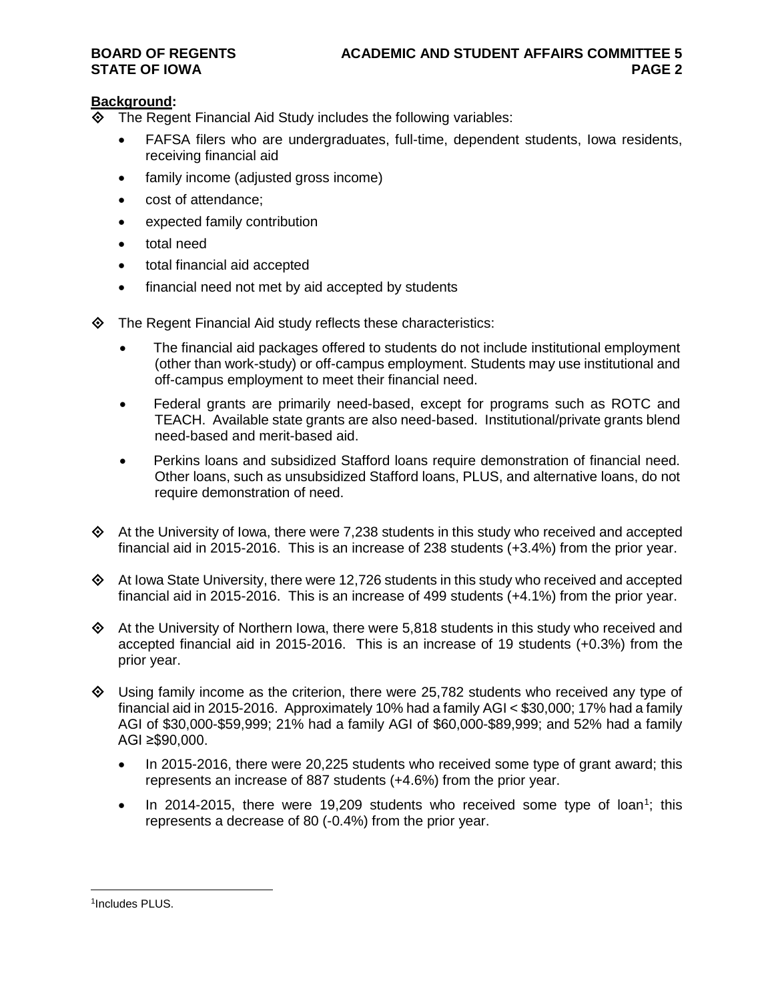### **Background:**

- The Regent Financial Aid Study includes the following variables:
	- FAFSA filers who are undergraduates, full-time, dependent students, Iowa residents, receiving financial aid
	- family income (adjusted gross income)
	- cost of attendance;
	- expected family contribution
	- total need
	- total financial aid accepted
	- financial need not met by aid accepted by students
- $\diamond$  The Regent Financial Aid study reflects these characteristics:
	- The financial aid packages offered to students do not include institutional employment (other than work-study) or off-campus employment. Students may use institutional and off-campus employment to meet their financial need.
	- Federal grants are primarily need-based, except for programs such as ROTC and TEACH. Available state grants are also need-based. Institutional/private grants blend need-based and merit-based aid.
	- Perkins loans and subsidized Stafford loans require demonstration of financial need. Other loans, such as unsubsidized Stafford loans, PLUS, and alternative loans, do not require demonstration of need.
- $\Diamond$  At the University of Iowa, there were 7,238 students in this study who received and accepted financial aid in 2015-2016. This is an increase of 238 students (+3.4%) from the prior year.
- $\Diamond$  At Iowa State University, there were 12,726 students in this study who received and accepted financial aid in 2015-2016. This is an increase of 499 students (+4.1%) from the prior year.
- $\Diamond$  At the University of Northern Iowa, there were 5,818 students in this study who received and accepted financial aid in 2015-2016. This is an increase of 19 students (+0.3%) from the prior year.
- $\Diamond$  Using family income as the criterion, there were 25,782 students who received any type of financial aid in 2015-2016. Approximately 10% had a family AGI < \$30,000; 17% had a family AGI of \$30,000-\$59,999; 21% had a family AGI of \$60,000-\$89,999; and 52% had a family AGI ≥\$90,000.
	- In 2015-2016, there were 20,225 students who received some type of grant award; this represents an increase of 887 students (+4.6%) from the prior year.
	- In 20[1](#page-16-0)4-2015, there were 19,209 students who received some type of loan<sup>1</sup>; this represents a decrease of 80 (-0.4%) from the prior year.

<span id="page-16-0"></span> <sup>1</sup>Includes PLUS.